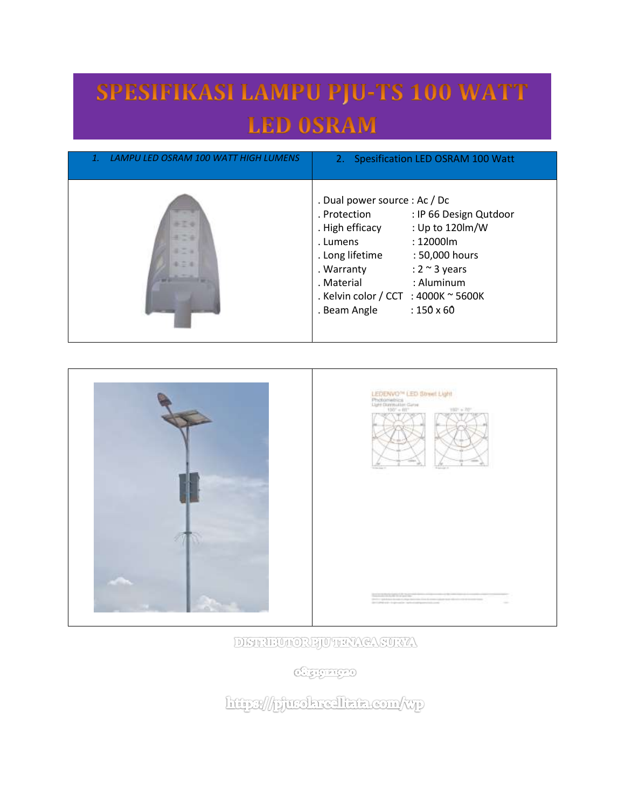## SPESIFIKASI LAMPU PJU-TS 100 WATT **LED OSRAM**

| LAMPU LED OSRAM 100 WATT HIGH LUMENS | 2. Spesification LED OSRAM 100 Watt                                                                                                                                                                                                                                                                                         |
|--------------------------------------|-----------------------------------------------------------------------------------------------------------------------------------------------------------------------------------------------------------------------------------------------------------------------------------------------------------------------------|
| 87.6<br>まご金<br>第二 年<br>4.004         | . Dual power source : Ac / Dc<br>. Protection<br>: IP 66 Design Qutdoor<br>: Up to 120lm/W<br>. High efficacy<br>: 12000lm<br>. Lumens<br>. Long lifetime<br>: 50,000 hours<br>: $2 \sim 3$ years<br>. Warranty<br>: Aluminum<br>. Material<br>. Kelvin color / CCT : 4000K $\sim$ 5600K<br>$:150\times 60$<br>. Beam Angle |



DETRUMORFJUTEN CASTRY

**Charged** 

http://pjurokrealkata.com/wp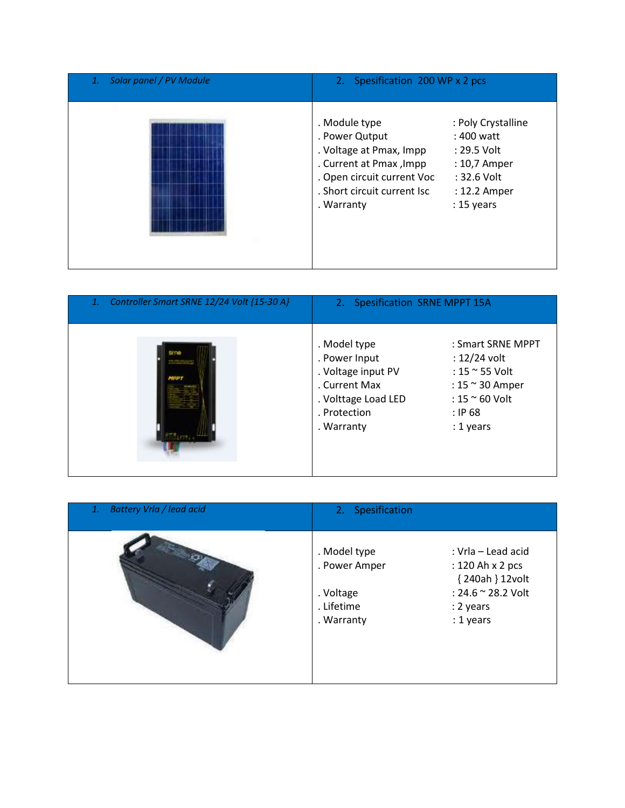| Solar panel / PV Module | 2. Spesification 200 WP x 2 pcs                                                                                                                                  |                                                                                                                  |
|-------------------------|------------------------------------------------------------------------------------------------------------------------------------------------------------------|------------------------------------------------------------------------------------------------------------------|
|                         | . Module type<br>. Power Qutput<br>. Voltage at Pmax, Impp<br>. Current at Pmax, Impp<br>. Open circuit current Voc<br>. Short circuit current Isc<br>. Warranty | : Poly Crystalline<br>$: 400$ watt<br>: 29.5 Volt<br>: 10,7 Amper<br>: 32.6 Volt<br>: 12.2 Amper<br>$: 15$ years |

| Controller Smart SRNE 12/24 Volt {15-30 A}<br>1. | 2. Spesification SRNE MPPT 15A                                                                                            |                                                                                                                                        |
|--------------------------------------------------|---------------------------------------------------------------------------------------------------------------------------|----------------------------------------------------------------------------------------------------------------------------------------|
|                                                  | . Model type<br>. Power Input<br>. Voltage input PV<br>. Current Max<br>. Volttage Load LED<br>. Protection<br>. Warranty | : Smart SRNE MPPT<br>$: 12/24$ volt<br>: 15 ~ 55 Volt<br>: $15 \approx 30$ Amper<br>: $15 \approx 60$ Volt<br>$:$ IP 68<br>$: 1$ years |

| <b>Battery Vrla / lead acid</b><br>1. | 2. Spesification                                                                                                                                                                    |
|---------------------------------------|-------------------------------------------------------------------------------------------------------------------------------------------------------------------------------------|
|                                       | . Model type<br>: Vrla - Lead acid<br>. Power Amper<br>: 120 Ah x 2 pcs<br>{240ah } 12volt<br>: 24.6 ~ 28.2 Volt<br>. Voltage<br>. Lifetime<br>: 2 years<br>: 1 years<br>. Warranty |